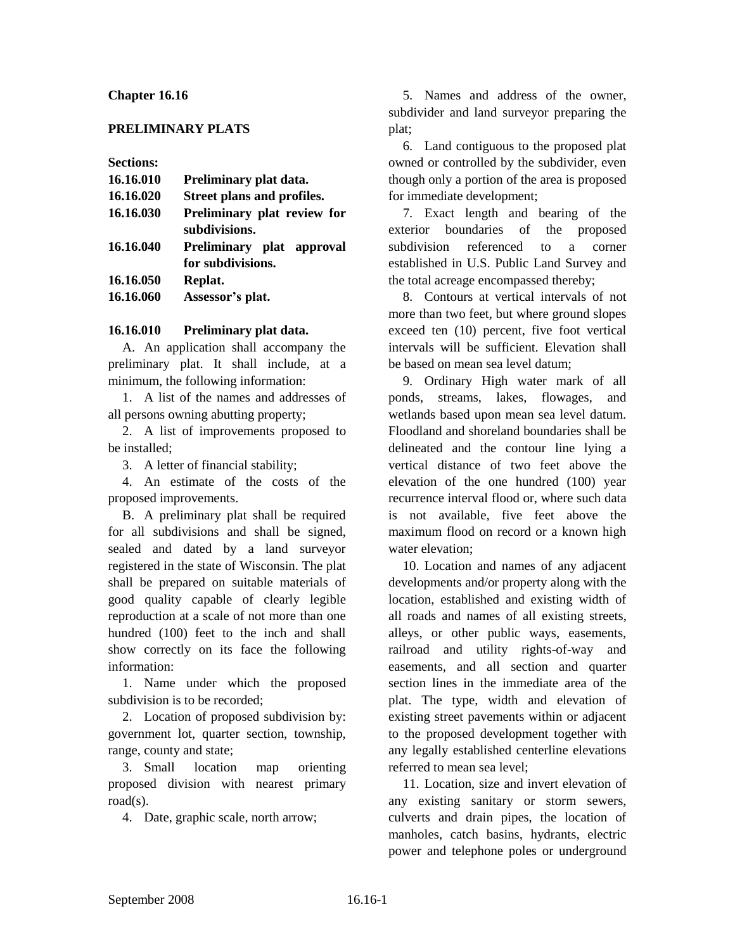### **Chapter 16.16**

### **PRELIMINARY PLATS**

**Sections:**

| 16.16.010 | Preliminary plat data.      |
|-----------|-----------------------------|
| 16.16.020 | Street plans and profiles.  |
| 16.16.030 | Preliminary plat review for |
|           | subdivisions.               |
| 16.16.040 | Preliminary plat approval   |
|           | for subdivisions.           |
| 16.16.050 | Replat.                     |
| 16.16.060 | Assessor's plat.            |
|           |                             |

### **16.16.010 Preliminary plat data.**

A. An application shall accompany the preliminary plat. It shall include, at a minimum, the following information:

1. A list of the names and addresses of all persons owning abutting property;

2. A list of improvements proposed to be installed;

3. A letter of financial stability;

4. An estimate of the costs of the proposed improvements.

B. A preliminary plat shall be required for all subdivisions and shall be signed, sealed and dated by a land surveyor registered in the state of Wisconsin. The plat shall be prepared on suitable materials of good quality capable of clearly legible reproduction at a scale of not more than one hundred (100) feet to the inch and shall show correctly on its face the following information:

1. Name under which the proposed subdivision is to be recorded;

2. Location of proposed subdivision by: government lot, quarter section, township, range, county and state;

3. Small location map orienting proposed division with nearest primary road(s).

4. Date, graphic scale, north arrow;

5. Names and address of the owner, subdivider and land surveyor preparing the plat;

6. Land contiguous to the proposed plat owned or controlled by the subdivider, even though only a portion of the area is proposed for immediate development;

7. Exact length and bearing of the exterior boundaries of the proposed subdivision referenced to a corner established in U.S. Public Land Survey and the total acreage encompassed thereby;

8. Contours at vertical intervals of not more than two feet, but where ground slopes exceed ten (10) percent, five foot vertical intervals will be sufficient. Elevation shall be based on mean sea level datum;

9. Ordinary High water mark of all ponds, streams, lakes, flowages, and wetlands based upon mean sea level datum. Floodland and shoreland boundaries shall be delineated and the contour line lying a vertical distance of two feet above the elevation of the one hundred (100) year recurrence interval flood or, where such data is not available, five feet above the maximum flood on record or a known high water elevation;

10. Location and names of any adjacent developments and/or property along with the location, established and existing width of all roads and names of all existing streets, alleys, or other public ways, easements, railroad and utility rights-of-way and easements, and all section and quarter section lines in the immediate area of the plat. The type, width and elevation of existing street pavements within or adjacent to the proposed development together with any legally established centerline elevations referred to mean sea level;

11. Location, size and invert elevation of any existing sanitary or storm sewers, culverts and drain pipes, the location of manholes, catch basins, hydrants, electric power and telephone poles or underground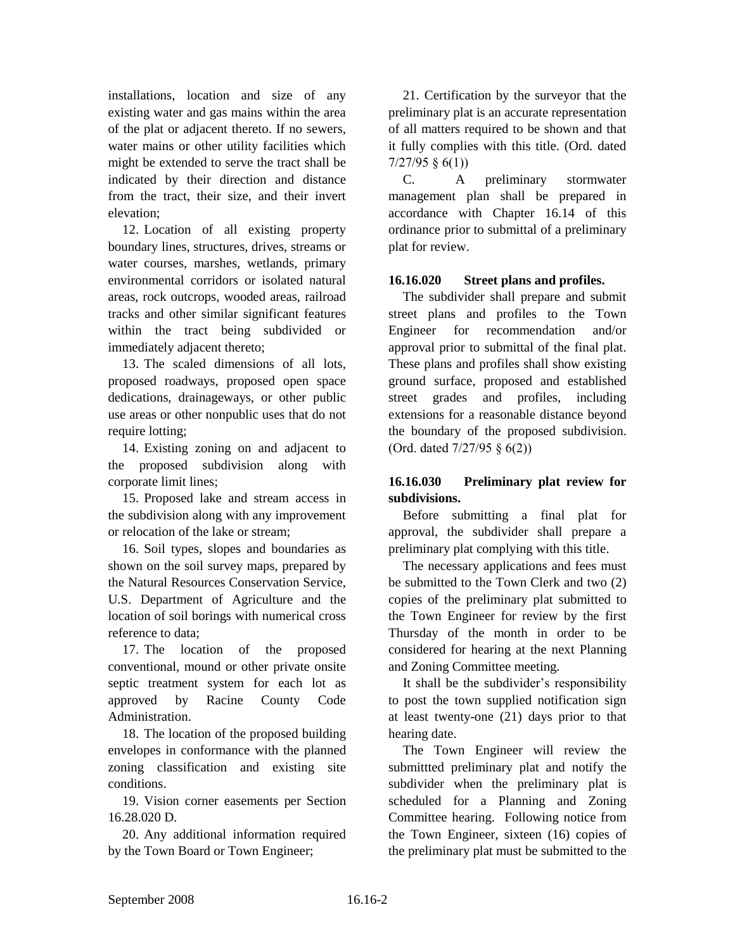installations, location and size of any existing water and gas mains within the area of the plat or adjacent thereto. If no sewers, water mains or other utility facilities which might be extended to serve the tract shall be indicated by their direction and distance from the tract, their size, and their invert elevation;

12. Location of all existing property boundary lines, structures, drives, streams or water courses, marshes, wetlands, primary environmental corridors or isolated natural areas, rock outcrops, wooded areas, railroad tracks and other similar significant features within the tract being subdivided or immediately adjacent thereto;

13. The scaled dimensions of all lots, proposed roadways, proposed open space dedications, drainageways, or other public use areas or other nonpublic uses that do not require lotting;

14. Existing zoning on and adjacent to the proposed subdivision along with corporate limit lines;

15. Proposed lake and stream access in the subdivision along with any improvement or relocation of the lake or stream;

16. Soil types, slopes and boundaries as shown on the soil survey maps, prepared by the Natural Resources Conservation Service, U.S. Department of Agriculture and the location of soil borings with numerical cross reference to data;

17. The location of the proposed conventional, mound or other private onsite septic treatment system for each lot as approved by Racine County Code Administration.

18. The location of the proposed building envelopes in conformance with the planned zoning classification and existing site conditions.

19. Vision corner easements per Section 16.28.020 D.

20. Any additional information required by the Town Board or Town Engineer;

21. Certification by the surveyor that the preliminary plat is an accurate representation of all matters required to be shown and that it fully complies with this title. (Ord. dated 7/27/95 § 6(1))

C. A preliminary stormwater management plan shall be prepared in accordance with Chapter 16.14 of this ordinance prior to submittal of a preliminary plat for review.

## **16.16.020 Street plans and profiles.**

The subdivider shall prepare and submit street plans and profiles to the Town Engineer for recommendation and/or approval prior to submittal of the final plat. These plans and profiles shall show existing ground surface, proposed and established street grades and profiles, including extensions for a reasonable distance beyond the boundary of the proposed subdivision. (Ord. dated 7/27/95 § 6(2))

# **16.16.030 Preliminary plat review for subdivisions.**

Before submitting a final plat for approval, the subdivider shall prepare a preliminary plat complying with this title.

The necessary applications and fees must be submitted to the Town Clerk and two (2) copies of the preliminary plat submitted to the Town Engineer for review by the first Thursday of the month in order to be considered for hearing at the next Planning and Zoning Committee meeting.

It shall be the subdivider's responsibility to post the town supplied notification sign at least twenty-one (21) days prior to that hearing date.

The Town Engineer will review the submittted preliminary plat and notify the subdivider when the preliminary plat is scheduled for a Planning and Zoning Committee hearing. Following notice from the Town Engineer, sixteen (16) copies of the preliminary plat must be submitted to the